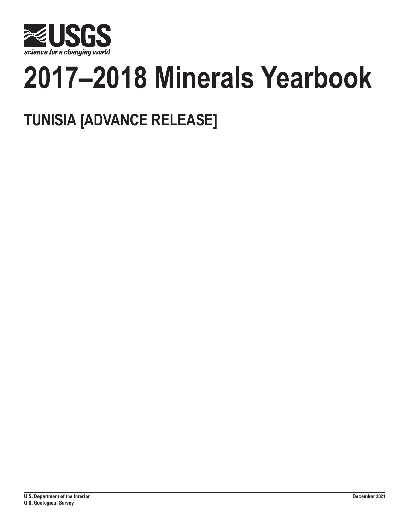

# **2017–2018 Minerals Yearbook**

## **TUNISIA [ADVANCE RELEASE]**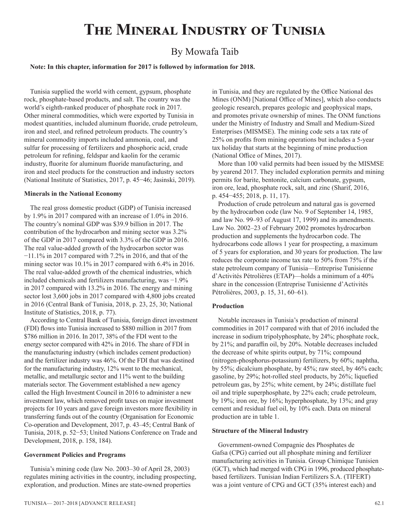## **The Mineral Industry of Tunisia**

### By Mowafa Taib

#### **Note: In this chapter, information for 2017 is followed by information for 2018.**

Tunisia supplied the world with cement, gypsum, phosphate rock, phosphate-based products, and salt. The country was the world's eighth-ranked producer of phosphate rock in 2017. Other mineral commodities, which were exported by Tunisia in modest quantities, included aluminum fluoride, crude petroleum, iron and steel, and refined petroleum products. The country's mineral commodity imports included ammonia, coal, and sulfur for processing of fertilizers and phosphoric acid, crude petroleum for refining, feldspar and kaolin for the ceramic industry, fluorite for aluminum fluoride manufacturing, and iron and steel products for the construction and industry sectors (National Institute of Statistics, 2017, p. 45−46; Jasinski, 2019).

#### **Minerals in the National Economy**

The real gross domestic product (GDP) of Tunisia increased by 1.9% in 2017 compared with an increase of 1.0% in 2016. The country's nominal GDP was \$39.9 billion in 2017. The contribution of the hydrocarbon and mining sector was 3.2% of the GDP in 2017 compared with 3.3% of the GDP in 2016. The real value-added growth of the hydrocarbon sector was −11.1% in 2017 compared with 7.2% in 2016, and that of the mining sector was 10.1% in 2017 compared with 6.4% in 2016. The real value-added growth of the chemical industries, which included chemicals and fertilizers manufacturing, was −1.9% in 2017 compared with 13.2% in 2016. The energy and mining sector lost 3,600 jobs in 2017 compared with 4,800 jobs created in 2016 (Central Bank of Tunisia, 2018, p. 23, 25, 30; National Institute of Statistics, 2018, p. 77).

According to Central Bank of Tunisia, foreign direct investment (FDI) flows into Tunisia increased to \$880 million in 2017 from \$786 million in 2016. In 2017, 38% of the FDI went to the energy sector compared with 42% in 2016. The share of FDI in the manufacturing industry (which includes cement production) and the fertilizer industry was 46%. Of the FDI that was destined for the manufacturing industry, 12% went to the mechanical, metallic, and metallurgic sector and 11% went to the building materials sector. The Government established a new agency called the High Investment Council in 2016 to administer a new investment law, which removed profit taxes on major investment projects for 10 years and gave foreign investors more flexibility in transferring funds out of the country (Organisation for Economic Co-operation and Development, 2017, p. 43–45; Central Bank of Tunisia, 2018, p. 52−53; United Nations Conference on Trade and Development, 2018, p. 158, 184).

#### **Government Policies and Programs**

Tunisia's mining code (law No. 2003–30 of April 28, 2003) regulates mining activities in the country, including prospecting, exploration, and production. Mines are state-owned properties

in Tunisia, and they are regulated by the Office National des Mines (ONM) [National Office of Mines], which also conducts geologic research, prepares geologic and geophysical maps, and promotes private ownership of mines. The ONM functions under the Ministry of Industry and Small and Medium-Sized Enterprises (MISMSE). The mining code sets a tax rate of 25% on profits from mining operations but includes a 5-year tax holiday that starts at the beginning of mine production (National Office of Mines, 2017).

More than 100 valid permits had been issued by the MISMSE by yearend 2017. They included exploration permits and mining permits for barite, bentonite, calcium carbonate, gypsum, iron ore, lead, phosphate rock, salt, and zinc (Sharif, 2016, p. 454−455; 2018, p. 11, 17).

Production of crude petroleum and natural gas is governed by the hydrocarbon code (law No. 9 of September 14, 1985, and law No. 99–93 of August 17, 1999) and its amendments. Law No. 2002–23 of February 2002 promotes hydrocarbon production and supplements the hydrocarbon code. The hydrocarbons code allows 1 year for prospecting, a maximum of 5 years for exploration, and 30 years for production. The law reduces the corporate income tax rate to 50% from 75% if the state petroleum company of Tunisia—Entreprise Tunisienne d'Activités Pétrolières (ETAP)—holds a minimum of a 40% share in the concession (Entreprise Tunisienne d'Activités Pétrolières, 2003, p. 15, 31, 60–61).

#### **Production**

Notable increases in Tunisia's production of mineral commodities in 2017 compared with that of 2016 included the increase in sodium tripolyphosphate, by 24%; phosphate rock, by 21%; and paraffin oil, by 20%. Notable decreases included the decrease of white spirits output, by 71%; compound (nitrogen-phosphorus-potassium) fertilizers, by 60%; naphtha, by 55%; dicalcium phosphate, by 45%; raw steel, by 46% each; gasoline, by 29%; hot-rolled steel products, by 26%; liquefied petroleum gas, by 25%; white cement, by 24%; distillate fuel oil and triple superphosphate, by 22% each; crude petroleum, by 19%; iron ore, by 16%; hyperphosphate, by 13%; and gray cement and residual fuel oil, by 10% each. Data on mineral production are in table 1.

#### **Structure of the Mineral Industry**

Government-owned Compagnie des Phosphates de Gafsa (CPG) carried out all phosphate mining and fertilizer manufacturing activities in Tunisia. Group Chimique Tunisien (GCT), which had merged with CPG in 1996, produced phosphatebased fertilizers. Tunisian Indian Fertilizers S.A. (TIFERT) was a joint venture of CPG and GCT (35% interest each) and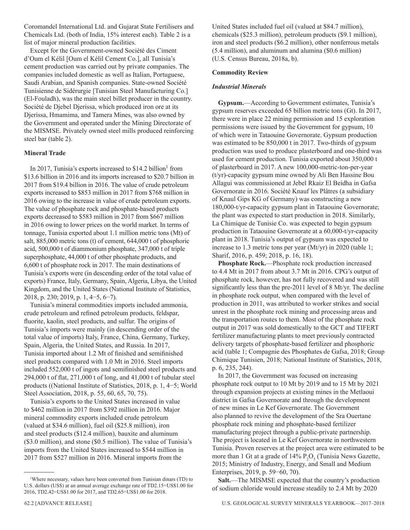Coromandel International Ltd. and Gujarat State Fertilisers and Chemicals Ltd. (both of India, 15% interest each). Table 2 is a list of major mineral production facilities.

Except for the Government-owned Société des Ciment d'Oum el Kélil [Oum el Kélil Cement Co.], all Tunisia's cement production was carried out by private companies. The companies included domestic as well as Italian, Portuguese, Saudi Arabian, and Spanish companies. State-owned Société Tunisienne de Sidérurgie [Tunisian Steel Manufacturing Co.] (El-Fouladh), was the main steel billet producer in the country. Société de Djebel Djerissa, which produced iron ore at its Djerissa, Hmamima, and Tamera Mines, was also owned by the Government and operated under the Mining Directorate of the MISMSE. Privately owned steel mills produced reinforcing steel bar (table 2).

#### **Mineral Trade**

In 2017, Tunisia's exports increased to  $$14.2$  billion<sup>1</sup> from \$13.6 billion in 2016 and its imports increased to \$20.7 billion in 2017 from \$19.4 billion in 2016. The value of crude petroleum exports increased to \$853 million in 2017 from \$768 million in 2016 owing to the increase in value of crude petroleum exports. The value of phosphate rock and phosphate-based products exports decreased to \$583 million in 2017 from \$667 million in 2016 owing to lower prices on the world market. In terms of tonnage, Tunisia exported about 1.1 million metric tons (Mt) of salt, 885,000 metric tons (t) of cement, 644,000 t of phosphoric acid, 500,000 t of diammonium phosphate, 347,000 t of triple superphosphate, 44,000 t of other phosphate products, and 6,600 t of phosphate rock in 2017. The main destinations of Tunisia's exports were (in descending order of the total value of exports) France, Italy, Germany, Spain, Algeria, Libya, the United Kingdom, and the United States (National Institute of Statistics, 2018, p. 230; 2019, p. 1, 4−5, 6−7).

Tunisia's mineral commodities imports included ammonia, crude petroleum and refined petroleum products, feldspar, fluorite, kaolin, steel products, and sulfur. The origins of Tunisia's imports were mainly (in descending order of the total value of imports) Italy, France, China, Germany, Turkey, Spain, Algeria, the United States, and Russia. In 2017, Tunisia imported about 1.2 Mt of finished and semifinished steel products compared with 1.0 Mt in 2016. Steel imports included 552,000 t of ingots and semifinished steel products and 294,000 t of flat, 271,000 t of long, and 41,000 t of tubular steel products ((National Institute of Statistics, 2018, p. 1, 4−5; World Steel Association, 2018, p. 55, 60, 65, 70, 75).

Tunisia's exports to the United States increased in value to \$462 million in 2017 from \$392 million in 2016. Major mineral commodity exports included crude petroleum (valued at \$34.6 million), fuel oil (\$25.8 million), iron and steel products (\$12.4 million), bauxite and aluminum (\$3.0 million), and stone (\$0.5 million). The value of Tunisia's imports from the United States increased to \$544 million in 2017 from \$527 million in 2016. Mineral imports from the

United States included fuel oil (valued at \$84.7 million), chemicals (\$25.3 million), petroleum products (\$9.1 million), iron and steel products (\$6.2 million), other nonferrous metals (5.4 million), and aluminum and alumina (\$0.6 million) (U.S. Census Bureau, 2018a, b).

#### **Commodity Review**

#### *Industrial Minerals*

**Gypsum.**—According to Government estimates, Tunisia's gypsum reserves exceeded 65 billion metric tons (Gt). In 2017, there were in place 22 mining permission and 15 exploration permissions were issued by the Government for gypsum, 10 of which were in Tataouine Governorate. Gypsum production was estimated to be 850,000 t in 2017. Two-thirds of gypsum production was used to produce plasterboard and one-third was used for cement production. Tunisia exported about 350,000 t of plasterboard in 2017. A new 100,000-metric-ton-per-year (t/yr)-capacity gypsum mine owned by Ali Ben Hassine Bou Allagui was commissioned at Jebel Rkaiz El Beidha in Gafsa Governorate in 2016. Société Knauf les Plâtres (a subsidiary of Knaul Gips KG of Germany) was constructing a new 180,000-t/yr-capacity gypsum plant in Tataouine Governorate; the plant was expected to start production in 2018. Similarly, La Chimique de Tunisie Co. was expected to begin gypsum production in Tataouine Governorate at a 60,000-t/yr-capacity plant in 2018. Tunisia's output of gypsum was expected to increase to 1.3 metric tons per year (Mt/yr) in 2020 (table 1; Sharif, 2016, p. 459; 2018, p. 16, 18).

**Phosphate Rock.**—Phosphate rock production increased to 4.4 Mt in 2017 from about 3.7 Mt in 2016. CPG's output of phosphate rock, however, has not fully recovered and was still significantly less than the pre-2011 level of 8 Mt/yr. The decline in phosphate rock output, when compared with the level of production in 2011, was attributed to worker strikes and social unrest in the phosphate rock mining and processing areas and the transportation routes to them. Most of the phosphate rock output in 2017 was sold domestically to the GCT and TIFERT fertilizer manufacturing plants to meet previously contracted delivery targets of phosphate-based fertilizer and phosphoric acid (table 1; Compagnie des Phosphates de Gafsa, 2018; Group Chimique Tunisien, 2018; National Institute of Statistics, 2018, p. 6, 235, 244).

In 2017, the Government was focused on increasing phosphate rock output to 10 Mt by 2019 and to 15 Mt by 2021 through expansion projects at existing mines in the Metlaoui district in Gafsa Governorate and through the development of new mines in Le Kef Governorate. The Government also planned to revive the development of the Sra Ouertane phosphate rock mining and phosphate-based fertilizer manufacturing project through a public-private partnership. The project is located in Le Kef Governorate in northwestern Tunisia. Proven reserves at the project area were estimated to be more than 1 Gt at a grade of  $14\%$   $P_2O_5$  (Tunisia News Gazette, 2015; Ministry of Industry, Energy, and Small and Medium Enterprises, 2019, p. 59−60, 70).

**Salt.**—The MISMSE expected that the country's production of sodium chloride would increase steadily to 2.4 Mt by 2020

<sup>1</sup> Where necessary, values have been converted from Tunisian dinars (TD) to U.S. dollars (US\$) at an annual average exchange rate of TD2.15=US\$1.00 for 2016, TD2.42=US\$1.00 for 2017, and TD2.65=US\$1.00 for 2018.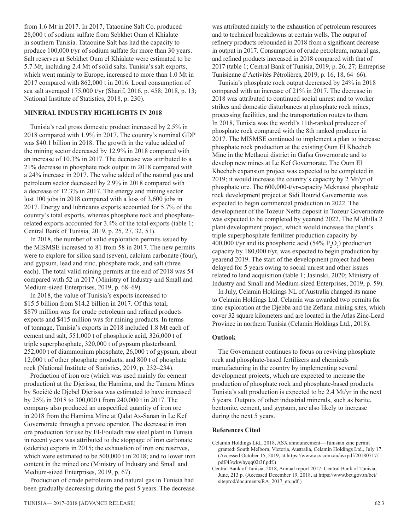from 1.6 Mt in 2017. In 2017, Tataouine Salt Co. produced 28,000 t of sodium sulfate from Sebkhet Oum el Khialate in southern Tunisia. Tataouine Salt has had the capacity to produce 100,000 t/yr of sodium sulfate for more than 30 years. Salt reserves at Sebkhet Oum el Khialate were estimated to be 5.7 Mt, including 2.4 Mt of solid salts. Tunisia's salt exports, which went mainly to Europe, increased to more than 1.0 Mt in 2017 compared with 862,000 t in 2016. Local consumption of sea salt averaged 175,000 t/yr (Sharif, 2016, p. 458; 2018, p. 13; National Institute of Statistics, 2018, p. 230).

#### **MINERAL INDUSTRY HIGHLIGHTS IN 2018**

Tunisia's real gross domestic product increased by 2.5% in 2018 compared with 1.9% in 2017. The country's nominal GDP was \$40.1 billion in 2018. The growth in the value added of the mining sector decreased by 12.9% in 2018 compared with an increase of 10.3% in 2017. The decrease was attributed to a 21% decrease in phosphate rock output in 2018 compared with a 24% increase in 2017. The value added of the natural gas and petroleum sector decreased by 2.9% in 2018 compared with a decrease of 12.3% in 2017. The energy and mining sector lost 100 jobs in 2018 compared with a loss of 3,600 jobs in 2017. Energy and lubricants exports accounted for 5.7% of the country's total exports, whereas phosphate rock and phosphaterelated exports accounted for 3.4% of the total exports (table 1; Central Bank of Tunisia, 2019, p. 25, 27, 32, 51).

In 2018, the number of valid exploration permits issued by the MISMSE increased to 81 from 58 in 2017. The new permits were to explore for silica sand (seven), calcium carbonate (four), and gypsum, lead and zinc, phosphate rock, and salt (three each). The total valid mining permits at the end of 2018 was 54 compared with 52 in 2017 (Ministry of Industry and Small and Medium-sized Enterprises, 2019, p. 68–69).

In 2018, the value of Tunisia's exports increased to \$15.5 billion from \$14.2 billion in 2017. Of this total, \$879 million was for crude petroleum and refined products exports and \$415 million was for mining products. In terms of tonnage, Tunisia's exports in 2018 included 1.8 Mt each of cement and salt, 551,000 t of phosphoric acid, 326,000 t of triple superphosphate, 320,000 t of gypsum plasterboard, 252,000 t of diammonium phosphate, 26,000 t of gypsum, about 12,000 t of other phosphate products, and 800 t of phosphate rock (National Institute of Statistics, 2019, p. 232–234).

Production of iron ore (which was used mainly for cement production) at the Djerissa, the Hamima, and the Tamera Mines by Société de Djebel Djerissa was estimated to have increased by 25% in 2018 to 300,000 t from 240,000 t in 2017. The company also produced an unspecified quantity of iron ore in 2018 from the Hamima Mine at Qalat As-Sanan in Le Kef Governorate through a private operator. The decrease in iron ore production for use by El-Fouladh raw steel plant in Tunisia in recent years was attributed to the stoppage of iron carbonate (siderite) exports in 2015; the exhaustion of iron ore reserves, which were estimated to be 500,000 t in 2018; and to lower iron content in the mined ore (Ministry of Industry and Small and Medium-sized Enterprises, 2019, p. 67).

Production of crude petroleum and natural gas in Tunisia had been gradually decreasing during the past 5 years. The decrease was attributed mainly to the exhaustion of petroleum resources and to technical breakdowns at certain wells. The output of refinery products rebounded in 2018 from a significant decrease in output in 2017. Consumption of crude petroleum, natural gas, and refined products increased in 2018 compared with that of 2017 (table 1; Central Bank of Tunisia, 2019, p. 26, 27; Entreprise Tunisienne d'Activités Pétrolières, 2019, p. 16, 18, 64–66).

Tunisia's phosphate rock output decreased by 24% in 2018 compared with an increase of 21% in 2017. The decrease in 2018 was attributed to continued social unrest and to worker strikes and domestic disturbances at phosphate rock mines, processing facilities, and the transportation routes to them. In 2018, Tunisia was the world's 11th-ranked producer of phosphate rock compared with the 8th ranked producer in 2017. The MISMSE continued to implement a plan to increase phosphate rock production at the existing Oum El Khecheb Mine in the Metlaoui district in Gafsa Governorate and to develop new mines at Le Kef Governorate. The Oum El Khecheb expansion project was expected to be completed in 2019; it would increase the country's capacity by 2 Mt/yr of phosphate ore. The 600,000-t/yr-capacity Meknassi phosphate rock development project at Sidi Bouzid Governorate was expected to begin commercial production in 2022. The development of the Tozeur-Nefta deposit in Tozeur Governorate was expected to be completed by yearend 2022. The M'dhilla 2 plant development project, which would increase the plant's triple superphosphate fertilizer production capacity by 400,000 t/yr and its phosphoric acid (54%  $P_2O_5$ ) production capacity by 180,000 t/yr, was expected to begin production by yearend 2019. The start of the development project had been delayed for 5 years owing to social unrest and other issues related to land acquisition (table 1; Jasinski, 2020; Ministry of Industry and Small and Medium-sized Enterprises, 2019, p. 59).

In July, Celamin Holdings NL of Australia changed its name to Celamin Holdings Ltd. Celamin was awarded two permits for zinc exploration at the Djebba and the Zeflana mining sites, which cover 32 square kilometers and are located in the Atlas Zinc-Lead Province in northern Tunisia (Celamin Holdings Ltd., 2018).

#### **Outlook**

The Government continues to focus on reviving phosphate rock and phosphate-based fertilizers and chemicals manufacturing in the country by implementing several development projects, which are expected to increase the production of phosphate rock and phosphate-based products. Tunisia's salt production is expected to be 2.4 Mt/yr in the next 5 years. Outputs of other industrial minerals, such as barite, bentonite, cement, and gypsum, are also likely to increase during the next 5 years.

#### **References Cited**

- Celamin Holdings Ltd., 2018, ASX announcement—Tunisian zinc permit granted: South Melborn, Victoria, Australia, Celamin Holdings Ltd., July 17. (Accessed October 15, 2019, at https://www.asx.com.au/asxpdf/20180717/ pdf/43wkwhyqq02t3f.pdf.)
- Central Bank of Tunisia, 2018, Annual report 2017: Central Bank of Tunisia, June, 213 p. (Accessed December 19, 2018, at https://www.bct.gov.tn/bct/ siteprod/documents/RA\_2017\_en.pdf.)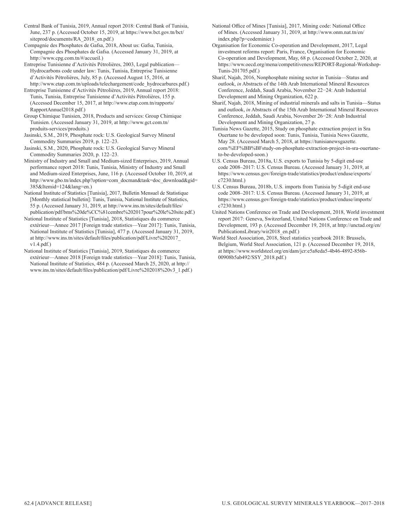- Central Bank of Tunisia, 2019, Annual report 2018: Central Bank of Tunisia, June, 237 p. (Accessed October 15, 2019, at https://www.bct.gov.tn/bct/ siteprod/documents/RA\_2018\_en.pdf.)
- Compagnie des Phosphates de Gafsa, 2018, About us: Gafsa, Tunisia, Compagnie des Phosphates de Gafsa. (Accessed January 31, 2019, at http://www.cpg.com.tn/#/accueil.)
- Entreprise Tunisienne d'Activités Pétrolières, 2003, Legal publication— Hydrocarbons code under law: Tunis, Tunisia, Entreprise Tunisienne d'Activités Pétrolières, July, 85 p. (Accessed August 15, 2016, at http://www.etap.com.tn/uploads/telechargement/code\_hydrocarbures.pdf.)
- Entreprise Tunisienne d'Activités Pétrolières, 2019, Annual report 2018: Tunis, Tunisia, Entreprise Tunisienne d'Activités Pétrolières, 155 p. (Accessed December 15, 2017, at http://www.etap.com.tn/rapports/ RapportAnnuel2018.pdf.)
- Group Chimique Tunisien, 2018, Products and services: Group Chimique Tunisien. (Accessed January 31, 2019, at http://www.gct.com.tn/ produits-services/produits.)
- Jasinski, S.M., 2019, Phosphate rock: U.S. Geological Survey Mineral Commodity Summaries 2019, p. 122–23.
- Jasinski, S.M., 2020, Phosphate rock: U.S. Geological Survey Mineral Commodity Summaries 2020, p. 122–23.
- Ministry of Industry and Small and Medium-sized Enterprises, 2019, Annual performance report 2018: Tunis, Tunisia, Ministry of Industry and Small and Medium-sized Enterprises, June, 116 p. (Accessed October 10, 2019, at http://www.gbo.tn/index.php?option=com\_docman&task=doc\_download&gid= 385&Itemid=124&lang=en.)
- National Institute of Statistics [Tunisia], 2017, Bulletin Mensuel de Statistique [Monthly statistical bulletin]: Tunis, Tunisia, National Institute of Statistics, 55 p. (Accessed January 31, 2019, at http://www.ins.tn/sites/default/files/ publication/pdf/bms%20de%CC%81cembre%202017pour%20le%20site.pdf.)
- National Institute of Statistics [Tunisia], 2018, Statistiques du commerce extérieur—Annee 2017 [Foreign trade statistics—Year 2017]: Tunis, Tunisia, National Institute of Statistics [Tunisia], 477 p. (Accessed January 31, 2019, at http://www.ins.tn/sites/default/files/publication/pdf/Livre%202017\_ v1.4.pdf.)
- National Institute of Statistics [Tunisia], 2019, Statistiques du commerce extérieur—Annee 2018 [Foreign trade statistics—Year 2018]: Tunis, Tunisia, National Institute of Statistics, 484 p. (Accessed March 25, 2020, at http:// www.ins.tn/sites/default/files/publication/pdf/Livre%202018%20v3\_1.pdf.)
- National Office of Mines [Tunisia], 2017, Mining code: National Office of Mines. (Accessed January 31, 2019, at http://www.onm.nat.tn/en/ index.php?p=codeminier.)
- Organisation for Economic Co-operation and Development, 2017, Legal investment reforms report: Paris, France, Organisation for Economic Co-operation and Development, May, 68 p. (Accessed October 2, 2020, at https://www.oecd.org/mena/competitiveness/REPORT-Regional-Workshop-Tunis-201705.pdf.)
- Sharif, Najah, 2016, Nonphosphate mining sector in Tunisia—Status and outlook, *in* Abstracts of the 14th Arab International Mineral Resources Conference, Jeddah, Saudi Arabia, November 22−24: Arab Industrial Development and Mining Organization, 622 p.
- Sharif, Najah, 2018, Mining of industrial minerals and salts in Tunisia—Status and outlook, *in* Abstracts of the 15th Arab International Mineral Resources Conference, Jeddah, Saudi Arabia, November 26−28: Arab Industrial Development and Mining Organization, 27 p.
- Tunisia News Gazette, 2015, Study on phosphate extraction project in Sra Ouertane to be developed soon: Tunis, Tunisia, Tunisia News Gazette, May 28. (Accessed March 5, 2018, at https://tunisianewsgazette. com/%EF%BB%BFstudy-on-phosphate-extraction-project-in-sra-ouertaneto-be-developed-soon.)
- U.S. Census Bureau, 2018a, U.S. exports to Tunisia by 5-digit end-use code 2008–2017: U.S. Census Bureau. (Accessed January 31, 2019, at https://www.census.gov/foreign-trade/statistics/product/enduse/exports/ c7230.html.)
- U.S. Census Bureau, 2018b, U.S. imports from Tunisia by 5-digit end-use code 2008–2017: U.S. Census Bureau. (Accessed January 31, 2019, at https://www.census.gov/foreign-trade/statistics/product/enduse/imports/ c7230.html.)
- United Nations Conference on Trade and Development, 2018, World investment report 2017: Geneva, Switzerland, United Nations Conference on Trade and Development, 193 p. (Accessed December 19, 2018, at http://unctad.org/en/ PublicationsLibrary/wir2018\_en.pdf.)
- World Steel Association, 2018, Steel statistics yearbook 2018: Brussels, Belgium, World Steel Association, 121 p. (Accessed December 19, 2018, at https://www.worldsteel.org/en/dam/jcr:e5a8eda5-4b46-4892-856b-00908b5ab492/SSY\_2018.pdf.)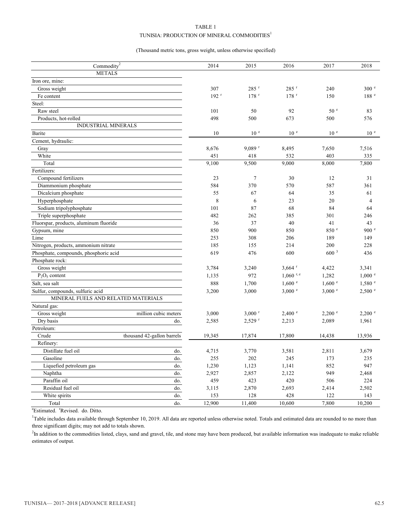#### TABLE 1

#### TUNISIA: PRODUCTION OF MINERAL COMMODITIES<sup>1</sup>

#### (Thousand metric tons, gross weight, unless otherwise specified)

| Commodity <sup>2</sup>                 | 2014               | 2015                 | 2016                 | 2017              | 2018              |
|----------------------------------------|--------------------|----------------------|----------------------|-------------------|-------------------|
| <b>METALS</b>                          |                    |                      |                      |                   |                   |
| Iron ore, mine:                        |                    |                      |                      |                   |                   |
| Gross weight                           | 307                | $285$ <sup>r</sup>   | $285$ <sup>r</sup>   | 240               | 300 <sup>e</sup>  |
| Fe content                             | $192$ <sup>r</sup> | $178$ <sup>r</sup>   | $178$ <sup>r</sup>   | 150               | 188 <sup>e</sup>  |
| Steel:                                 |                    |                      |                      |                   |                   |
| Raw steel                              | 101                | 50                   | 92                   | 50 <sup>°</sup>   | 83                |
| Products, hot-rolled                   | 498                | 500                  | 673                  | 500               | 576               |
| <b>INDUSTRIAL MINERALS</b>             |                    |                      |                      |                   |                   |
| Barite                                 | 10                 | 10 <sup>e</sup>      | 10 <sup>e</sup>      | 10 <sup>e</sup>   | 10 <sup>e</sup>   |
| Cement, hydraulic:                     |                    |                      |                      |                   |                   |
| Gray                                   | 8,676              | $9.089$ <sup>r</sup> | 8,495                | 7,650             | 7,516             |
| White                                  | 451                | 418                  | 532                  | 403               | 335               |
| Total                                  | 9,100              | 9,500                | 9,000                | 8,000             | 7,800             |
| Fertilizers:                           |                    |                      |                      |                   |                   |
| Compound fertilizers                   | 23                 | $\overline{7}$       | 30                   | 12                | 31                |
| Diammonium phosphate                   | 584                | 370                  | 570                  | 587               | 361               |
| Dicalcium phosphate                    | 55                 | 67                   | 64                   | 35                | 61                |
| Hyperphosphate                         | 8                  | 6                    | 23                   | 20                | $\overline{4}$    |
| Sodium tripolyphosphate                | 101                | 87                   | 68                   | 84                | 64                |
| Triple superphosphate                  | 482                | 262                  | 385                  | 301               | 246               |
| Fluorspar, products, aluminum fluoride | 36                 | 37                   | 40                   | 41                | 43                |
| Gypsum, mine                           | 850                | 900                  | 850                  | 850 e             | 900 e             |
| Lime                                   | 253                | 308                  | 206                  | 189               | 149               |
| Nitrogen, products, ammonium nitrate   | 185                | 155                  | 214                  | 200               | 228               |
| Phosphate, compounds, phosphoric acid  | 619                | 476                  | 600                  | 600 <sup>3</sup>  | 436               |
| Phosphate rock:                        |                    |                      |                      |                   |                   |
| Gross weight                           | 3,784              | 3,240                | $3,664$ <sup>r</sup> | 4,422             | 3,341             |
| $P_2O_5$ content                       | 1,135              | 972                  | $1,060$ r, e         | 1,282             | $1,000$ $e$       |
| Salt, sea salt                         | 888                | 1,700                | 1,600 °              | $1,600$ $e$       | 1,580 °           |
| Sulfur, compounds, sulfuric acid       | 3,200              | 3,000                | 3,000 °              | 3,000 °           | 2,500 °           |
| MINERAL FUELS AND RELATED MATERIALS    |                    |                      |                      |                   |                   |
| Natural gas:                           |                    |                      |                      |                   |                   |
| million cubic meters<br>Gross weight   | 3,000              | $3,000$ <sup>r</sup> | $2,400$ $^{\circ}$   | $2,200$ $\degree$ | $2,200$ $\degree$ |
| Dry basis<br>do.                       | 2,585              | $2,529$ <sup>r</sup> | 2,213                | 2,089             | 1,961             |
| Petroleum:                             |                    |                      |                      |                   |                   |
| Crude<br>thousand 42-gallon barrels    | 19,345             | 17,874               | 17,800               | 14,438            | 13,936            |
| Refinery:                              |                    |                      |                      |                   |                   |
| Distillate fuel oil<br>do.             | 4,715              | 3,770                | 3,581                | 2,811             | 3,679             |
| Gasoline<br>do.                        | 255                | 202                  | 245                  | 173               | 235               |
| Liquefied petroleum gas<br>do.         | 1,230              | 1,123                | 1,141                | 852               | 947               |
| Naphtha<br>do.                         | 2,927              | 2,857                | 2,122                | 949               | 2,468             |
| Paraffin oil<br>do.                    | 459                | 423                  | 420                  | 506               | 224               |
| Residual fuel oil<br>do.               | 3,115              | 2,870                | 2,693                | 2,414             | 2,502             |
| White spirits<br>do.                   | 153                | 128                  | 428                  | 122               | 143               |
| Total<br>do.                           | 12,900             | 11,400               | 10,600               | 7,800             | 10,200            |

<sup>e</sup>Estimated. <sup>r</sup>Revised. do. Ditto.

<sup>1</sup>Table includes data available through September 10, 2019. All data are reported unless otherwise noted. Totals and estimated data are rounded to no more than three significant digits; may not add to totals shown.

<sup>2</sup>In addition to the commodities listed, clays, sand and gravel, tile, and stone may have been produced, but available information was inadequate to make reliable estimates of output.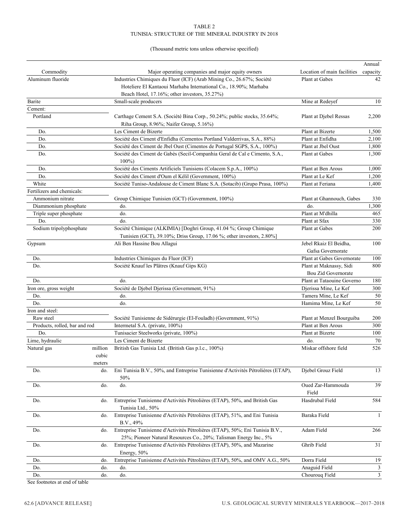#### TABLE 2 TUNISIA: STRUCTURE OF THE MINERAL INDUSTRY IN 2018

#### (Thousand metric tons unless otherwise specified)

|                               |         |                                                                                                                     |                             | Annual       |
|-------------------------------|---------|---------------------------------------------------------------------------------------------------------------------|-----------------------------|--------------|
| Commodity                     |         | Major operating companies and major equity owners                                                                   | Location of main facilities | capacity     |
| Aluminum fluoride             |         | Industries Chimiques du Fluor (ICF) (Arab Mining Co., 26.67%; Société                                               | Plant at Gabes              | 42           |
|                               |         | Hoteliere El Kantaoui Marhaba International Co., 18.90%; Marhaba                                                    |                             |              |
|                               |         | Beach Hotel, 17.16%; other investors, 35.27%)                                                                       |                             |              |
| Barite                        |         | Small-scale producers                                                                                               | Mine at Redeyef             | 10           |
| Cement:                       |         |                                                                                                                     |                             |              |
| Portland                      |         | Carthage Cement S.A. (Société Bina Corp., 50.24%; public stocks, 35.64%;<br>Riha Group, 8.96%; Naifer Group, 5.16%) | Plant at Djebel Ressas      | 2,200        |
| Do.                           |         | Les Ciment de Bizerte                                                                                               | Plant at Bizerte            | 1,500        |
| Do.                           |         | Société des Ciment d'Enfidha (Cementos Portland Valderrivas, S.A., 88%)                                             | Plant at Enfidha            | 2,100        |
| Do.                           |         | Société des Ciment de Jbel Oust (Cimentos de Portugal SGPS, S.A., 100%)                                             | Plant at Jbel Oust          | 1,800        |
| Do.                           |         | Société des Ciment de Gabès (Secil-Companhia Geral de Cal e Cimento, S.A.,<br>$100\%$                               | Plant at Gabes              | 1,300        |
| Do.                           |         | Société des Ciments Artificiels Tunisiens (Colacem S.p.A., 100%)                                                    | Plant at Ben Arous          | 1,000        |
| Do.                           |         | Société des Ciment d'Oum el Kélil (Government, 100%)                                                                | Plant at Le Kef             | 1,200        |
| White                         |         | Société Tuniso-Andalouse de Ciment Blanc S.A. (Sotacib) (Grupo Prasa, 100%)                                         | Plant at Feriana            | 1,400        |
| Fertilizers and chemicals:    |         |                                                                                                                     |                             |              |
| Ammonium nitrate              |         | Group Chimique Tunisien (GCT) (Government, 100%)                                                                    | Plant at Ghannouch, Gabes   | 330          |
| Diammonium phosphate          |         | do.                                                                                                                 | do.                         | 1,300        |
| Triple super phosphate        |         | do.                                                                                                                 | Plant at M'dhilla           | 465          |
| Do.                           |         | do.                                                                                                                 | Plant at Sfax               | 330          |
| Sodium tripolyphosphate       |         | Société Chimique (ALKIMIA) [Doghri Group, 41.04 %; Group Chimique                                                   | Plant at Gabes              | 200          |
|                               |         | Tunisien (GCT), 39.10%; Driss Group, 17.06 %; other investors, 2.80%]                                               |                             |              |
| Gypsum                        |         | Ali Ben Hassine Bou Allagui                                                                                         | Jebel Rkaiz El Beidha,      | 100          |
|                               |         |                                                                                                                     | Gafsa Governorate           |              |
| Do.                           |         | Industries Chimiques du Fluor (ICF)                                                                                 | Plant at Gabes Governorate  | 100          |
| Do.                           |         | Société Knauf les Plâtres (Knauf Gips KG)                                                                           | Plant at Maknassy, Sidi     | 800          |
|                               |         |                                                                                                                     | Bou Zid Governorate         |              |
| Do.                           |         | do.                                                                                                                 | Plant at Tataouine Governo  | 180          |
| Iron ore, gross weight        |         | Société de Djebel Djerissa (Government, 91%)                                                                        | Djerissa Mine, Le Kef       | 300          |
| Do.                           |         | do.                                                                                                                 | Tamera Mine, Le Kef         | 50           |
| Do.                           |         | do.                                                                                                                 | Hamima Mine, Le Kef         | 50           |
| Iron and steel:               |         |                                                                                                                     |                             |              |
| Raw steel                     |         | Société Tunisienne de Sidérurgie (El-Fouladh) (Government, 91%)                                                     | Plant at Menzel Bourguiba   | 200          |
| Products, rolled, bar and rod |         | Intermetal S.A. (private, 100%)                                                                                     | Plant at Ben Arous          | 300          |
| Do.                           |         | Tunisacier Steelworks (private, 100%)                                                                               | Plant at Bizerte            | 100          |
| Lime, hydraulic               |         | Les Ciment de Bizerte                                                                                               | do.                         | 70           |
| Natural gas                   | million | British Gas Tunisia Ltd. (British Gas p.l.c., 100%)                                                                 | Miskar offshore field       | 526          |
|                               | cubic   |                                                                                                                     |                             |              |
|                               | meters  |                                                                                                                     |                             |              |
| Do.                           | do.     | Eni Tunisia B.V., 50%, and Entreprise Tunisienne d'Activités Pétrolières (ETAP),<br>50%                             | Djebel Grouz Field          | 13           |
| Do.                           | do.     | do.                                                                                                                 | Oued Zar-Hammouda           | 39           |
|                               |         |                                                                                                                     | Field                       |              |
| Do.                           | do.     | Entreprise Tunisienne d'Activités Pétrolières (ETAP), 50%, and British Gas                                          | Hasdrubal Field             | 584          |
|                               |         | Tunisia Ltd., 50%                                                                                                   |                             |              |
| Do.                           | do.     | Entreprise Tunisienne d'Activités Pétrolières (ETAP), 51%, and Eni Tunisia                                          | Baraka Field                | $\mathbf{1}$ |
|                               |         | B.V., 49%                                                                                                           |                             |              |
| Do.                           | do.     | Entreprise Tunisienne d'Activités Pétrolières (ETAP), 50%; Eni Tunisia B.V.,                                        | Adam Field                  | 266          |
|                               |         | 25%; Pioneer Natural Resources Co., 20%; Talisman Energy Inc., 5%                                                   |                             |              |
| Do.                           | do.     | Entreprise Tunisienne d'Activités Pétrolières (ETAP), 50%, and Mazarine                                             | Ghrib Field                 | 31           |
|                               |         | Energy, 50%                                                                                                         |                             |              |
| Do.                           | do.     | Entreprise Tunisienne d'Activités Pétrolières (ETAP), 50%, and OMV A.G., 50%                                        | Dorra Field                 | 19           |
| Do.                           | do.     | do.                                                                                                                 | Anaguid Field               | 3            |
| Do.                           | do.     | do.                                                                                                                 | Chourouq Field              | 3            |
|                               |         |                                                                                                                     |                             |              |

See footnotes at end of table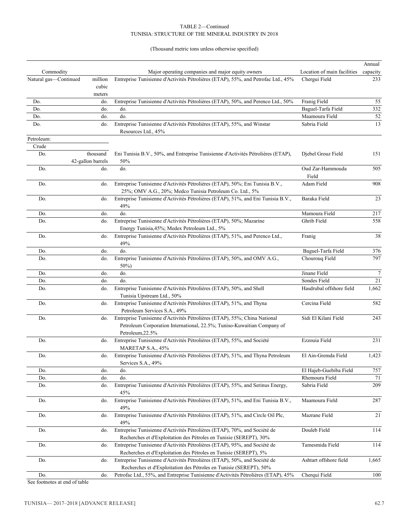#### TUNISIA: STRUCTURE OF THE MINERAL INDUSTRY IN 2018 TABLE 2—Continued

(Thousand metric tons unless otherwise specified)

|                       |                               |                                                                                                                                                 |                             | Annual           |
|-----------------------|-------------------------------|-------------------------------------------------------------------------------------------------------------------------------------------------|-----------------------------|------------------|
| Commodity             |                               | Major operating companies and major equity owners                                                                                               | Location of main facilities | capacity         |
| Natural gas-Continued | million<br>cubic<br>meters    | Entreprise Tunisienne d'Activités Pétrolières (ETAP), 55%, and Petrofac Ltd., 45%                                                               | Chergui Field               | 233              |
| Do.                   | do.                           | Entreprise Tunisienne d'Activités Pétrolières (ETAP), 50%, and Perenco Ltd., 50%                                                                | Franig Field                | 55               |
| Do.                   | do.                           | do.                                                                                                                                             | Baguel-Tarfa Field          | 332              |
| Do.                   | do.                           | do.                                                                                                                                             | Maamoura Field              | 52               |
| Do.                   | do.                           | Entreprise Tunisienne d'Activités Pétrolières (ETAP), 55%, and Winstar                                                                          | Sabria Field                | 13               |
|                       |                               | Resources Ltd., 45%                                                                                                                             |                             |                  |
| Petroleum:            |                               |                                                                                                                                                 |                             |                  |
| Crude                 |                               |                                                                                                                                                 |                             |                  |
| Do.                   | thousand<br>42-gallon barrels | Eni Tunisia B.V., 50%, and Entreprise Tunisienne d'Activités Pétrolières (ETAP),<br>50%                                                         | Djebel Grouz Field          | 151              |
| Do.                   | do.                           | do.                                                                                                                                             | Oud Zar-Hammouda<br>Field   | 505              |
| Do.                   | do.                           | Entreprise Tunisienne d'Activités Pétrolières (ETAP), 50%; Eni Tunisia B.V.,                                                                    | Adam Field                  | 908              |
|                       |                               | 25%; OMV A.G., 20%; Medco Tunisia Petroleum Co. Ltd., 5%                                                                                        |                             |                  |
| Do.                   | do.                           | Entreprise Tunisienne d'Activités Pétrolières (ETAP), 51%, and Eni Tunisia B.V.,<br>49%                                                         | Baraka Field                | 23               |
| Do.                   | do.                           | do.                                                                                                                                             | Mamoura Field               | 217              |
| Do.                   | do.                           | Entreprise Tunisienne d'Activités Pétrolières (ETAP), 50%; Mazarine<br>Energy Tunisia, 45%; Medex Petroleum Ltd., 5%                            | Ghrib Field                 | 558              |
| Do.                   | do.                           | Entreprise Tunisienne d'Activités Pétrolières (ETAP), 51%, and Perenco Ltd.,<br>49%                                                             | Franig                      | 38               |
| Do.                   | do.                           | do.                                                                                                                                             | Baguel-Tarfa Field          | 376              |
| Do.                   | do.                           | Entreprise Tunisienne d'Activités Pétrolières (ETAP), 50%, and OMV A.G.,<br>50%)                                                                | Chourouq Field              | 797              |
| Do.                   | do.                           | do.                                                                                                                                             | Jinane Field                | $\boldsymbol{7}$ |
| Do.                   | do.                           | do.                                                                                                                                             | Sondes Field                | 21               |
| Do.                   | do.                           | Entreprise Tunisienne d'Activités Pétrolières (ETAP), 50%, and Shell                                                                            | Hasdrubal offshore field    | 1,662            |
|                       |                               | Tunisia Upstream Ltd., 50%                                                                                                                      |                             |                  |
| Do.                   | do.                           | Entreprise Tunisienne d'Activités Pétrolières (ETAP), 51%, and Thyna<br>Petroleum Services S.A., 49%                                            | Cercina Field               | 582              |
| Do.                   | do.                           | Entreprise Tunisienne d'Activités Pétrolières (ETAP), 55%; China National                                                                       | Sidi El Kilani Field        | 243              |
|                       |                               | Petroleum Corporation International, 22.5%; Tuniso-Kuwaitian Company of<br>Petroleum, 22.5%                                                     |                             |                  |
| Do.                   | do.                           | Entreprise Tunisienne d'Activités Pétrolières (ETAP), 55%, and Société                                                                          | Ezzouia Field               | 231              |
|                       |                               | MARETAP S.A., 45%                                                                                                                               |                             |                  |
| Do.                   | do.                           | Entreprise Tunisienne d'Activités Pétrolières (ETAP), 51%, and Thyna Petroleum<br>Services S.A., 49%                                            | El Ain-Gremda Field         | 1,423            |
| Do.                   | do.                           | do.                                                                                                                                             | El Hajeb-Guebiba Field      | 757              |
| Do.                   | do.                           | do.                                                                                                                                             | Rhemoura Field              | 71               |
| Do.                   | do.                           | Entreprise Tunisienne d'Activités Pétrolières (ETAP), 55%, and Serinus Energy,<br>45%                                                           | Sabria Field                | 209              |
| Do.                   | do.                           | Entreprise Tunisienne d'Activités Pétrolières (ETAP), 51%, and Eni Tunisia B.V.,                                                                | Maamoura Field              | 287              |
| Do.                   | do.                           | 49%<br>Entreprise Tunisienne d'Activités Pétrolières (ETAP), 51%, and Circle Oil Plc,                                                           | Mazrane Field               | 21               |
|                       |                               | 49%<br>Entreprise Tunisienne d'Activités Pétrolières (ETAP), 70%, and Société de                                                                | Douleb Field                |                  |
| Do.                   | do.                           | Recherches et d'Exploitation des Pétroles en Tunisie (SEREPT), 30%                                                                              |                             | 114              |
| Do.                   | do.                           | Entreprise Tunisienne d'Activités Pétrolières (ETAP), 95%, and Société de                                                                       | Tamesmida Field             | 114              |
|                       |                               | Recherches et d'Exploitation des Pétroles en Tunisie (SEREPT), 5%                                                                               |                             |                  |
| Do.                   | do.                           | Entreprise Tunisienne d'Activités Pétrolières (ETAP), 50%, and Société de<br>Recherches et d'Exploitation des Pétroles en Tunisie (SEREPT), 50% | Ashtart offshore field      | 1,665            |
| Do.                   | do.                           | Petrofac Ltd., 55%, and Entreprise Tunisienne d'Activités Pétrolières (ETAP), 45%                                                               | Cherqui Field               | 100              |

See footnotes at end of table